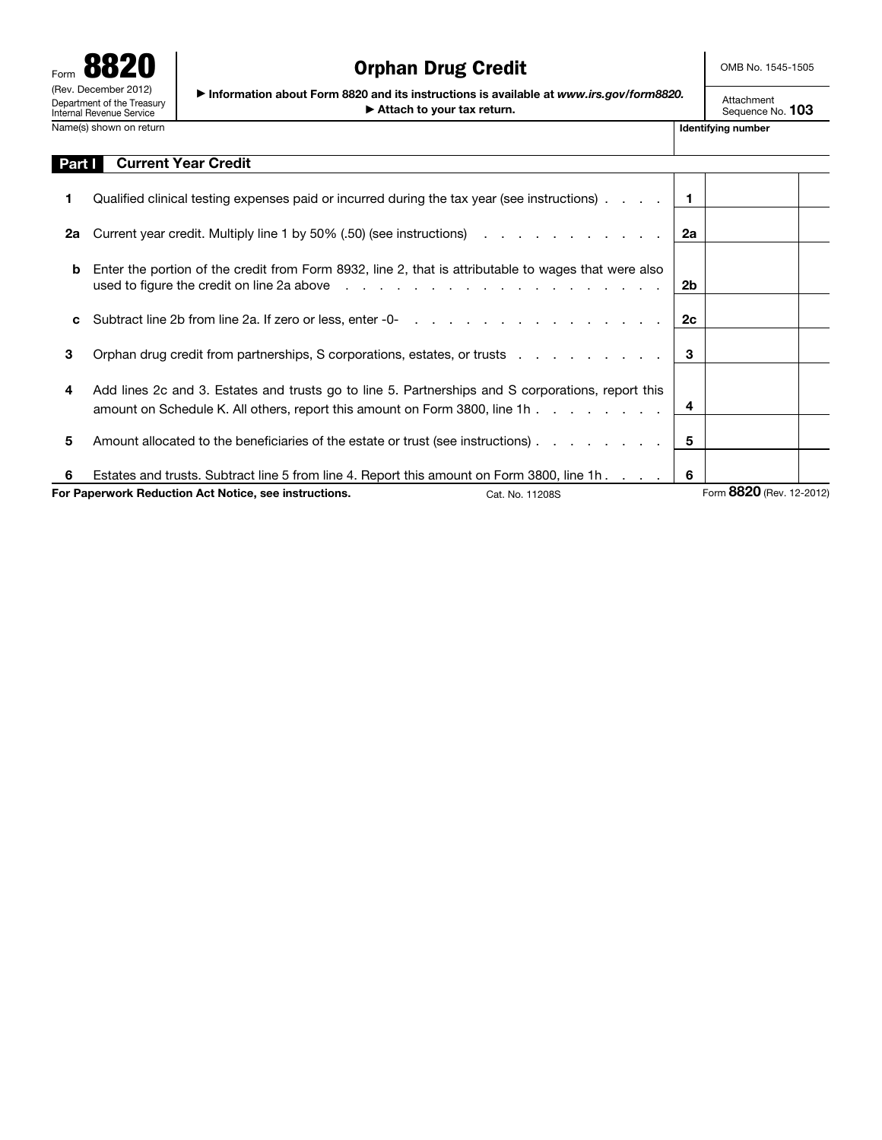

# Orphan Drug Credit

OMB No. 1545-1505

▶ Information about Form 8820 and its instructions is available at *www.irs.gov/form8820.* ▶ Attach to your tax return.

Attachment Sequence No. 103

| Part I | <b>Current Year Credit</b>                                                                                                                                                      |    |                          |
|--------|---------------------------------------------------------------------------------------------------------------------------------------------------------------------------------|----|--------------------------|
|        | Qualified clinical testing expenses paid or incurred during the tax year (see instructions).                                                                                    |    |                          |
| 2а     | Current year credit. Multiply line 1 by 50% (.50) (see instructions)                                                                                                            | 2a |                          |
| b      | Enter the portion of the credit from Form 8932, line 2, that is attributable to wages that were also                                                                            | 2b |                          |
| C      |                                                                                                                                                                                 | 2c |                          |
| 3      | Orphan drug credit from partnerships, S corporations, estates, or trusts                                                                                                        | 3  |                          |
| 4      | Add lines 2c and 3. Estates and trusts go to line 5. Partnerships and S corporations, report this<br>amount on Schedule K. All others, report this amount on Form 3800, line 1h | 4  |                          |
| 5      | Amount allocated to the beneficiaries of the estate or trust (see instructions).                                                                                                | 5  |                          |
| 6      | Estates and trusts. Subtract line 5 from line 4. Report this amount on Form 3800, line 1h                                                                                       | -6 |                          |
|        | For Paperwork Reduction Act Notice, see instructions.<br>Cat. No. 11208S                                                                                                        |    | Form 8820 (Rev. 12-2012) |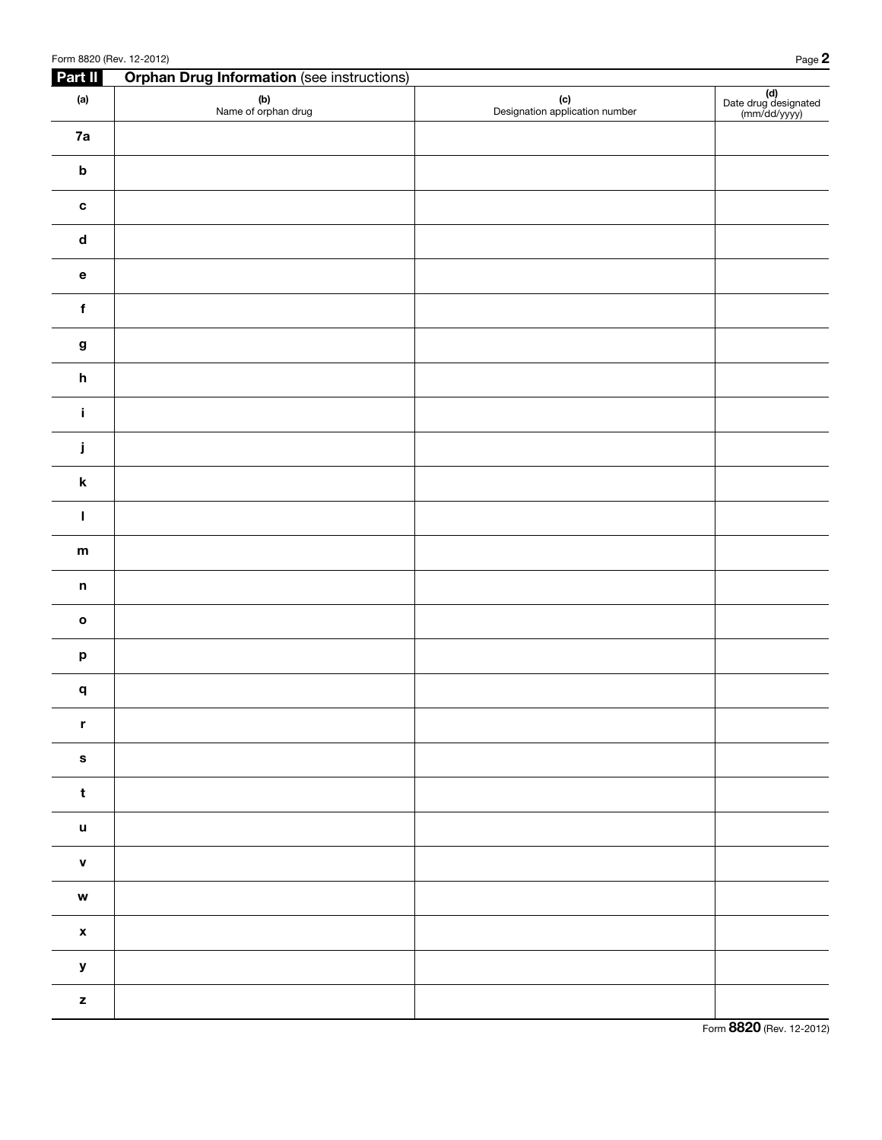| Part II                                        | <b>Orphan Drug Information (see instructions)</b> |                                       |                                             |
|------------------------------------------------|---------------------------------------------------|---------------------------------------|---------------------------------------------|
| (a)                                            | (b)<br>Name of orphan drug                        | (c)<br>Designation application number | (d)<br>Date drug designated<br>(mm/dd/yyyy) |
| 7a                                             |                                                   |                                       |                                             |
| $\boldsymbol{\mathsf{b}}$                      |                                                   |                                       |                                             |
| $\mathbf c$                                    |                                                   |                                       |                                             |
| $\operatorname{\mathsf{d}}$                    |                                                   |                                       |                                             |
| $\mathbf{e}% _{t}\left( \mathbf{1}_{t}\right)$ |                                                   |                                       |                                             |
| $\mathbf f$                                    |                                                   |                                       |                                             |
| $\boldsymbol{g}$                               |                                                   |                                       |                                             |
| $\mathsf{h}$                                   |                                                   |                                       |                                             |
| $\mathbf i$                                    |                                                   |                                       |                                             |
| j                                              |                                                   |                                       |                                             |
| $\boldsymbol{\mathsf{k}}$                      |                                                   |                                       |                                             |
| L                                              |                                                   |                                       |                                             |
| ${\bf m}$                                      |                                                   |                                       |                                             |
| $\mathsf n$                                    |                                                   |                                       |                                             |
| $\mathbf{o}$                                   |                                                   |                                       |                                             |
| $\boldsymbol{\mathsf{p}}$                      |                                                   |                                       |                                             |
| q                                              |                                                   |                                       |                                             |
| $\mathbf r$                                    |                                                   |                                       |                                             |
| $\mathbf{s}$                                   |                                                   |                                       |                                             |
| $\mathbf t$                                    |                                                   |                                       |                                             |
| $\mathbf u$                                    |                                                   |                                       |                                             |
| $\mathbf v$                                    |                                                   |                                       |                                             |
| $\mathbf{w}$                                   |                                                   |                                       |                                             |
| $\pmb{\mathsf{x}}$                             |                                                   |                                       |                                             |
| $\pmb{\mathsf{y}}$                             |                                                   |                                       |                                             |
| $\mathbf{z}$                                   |                                                   |                                       |                                             |

Form 8820 (Rev. 12-2012)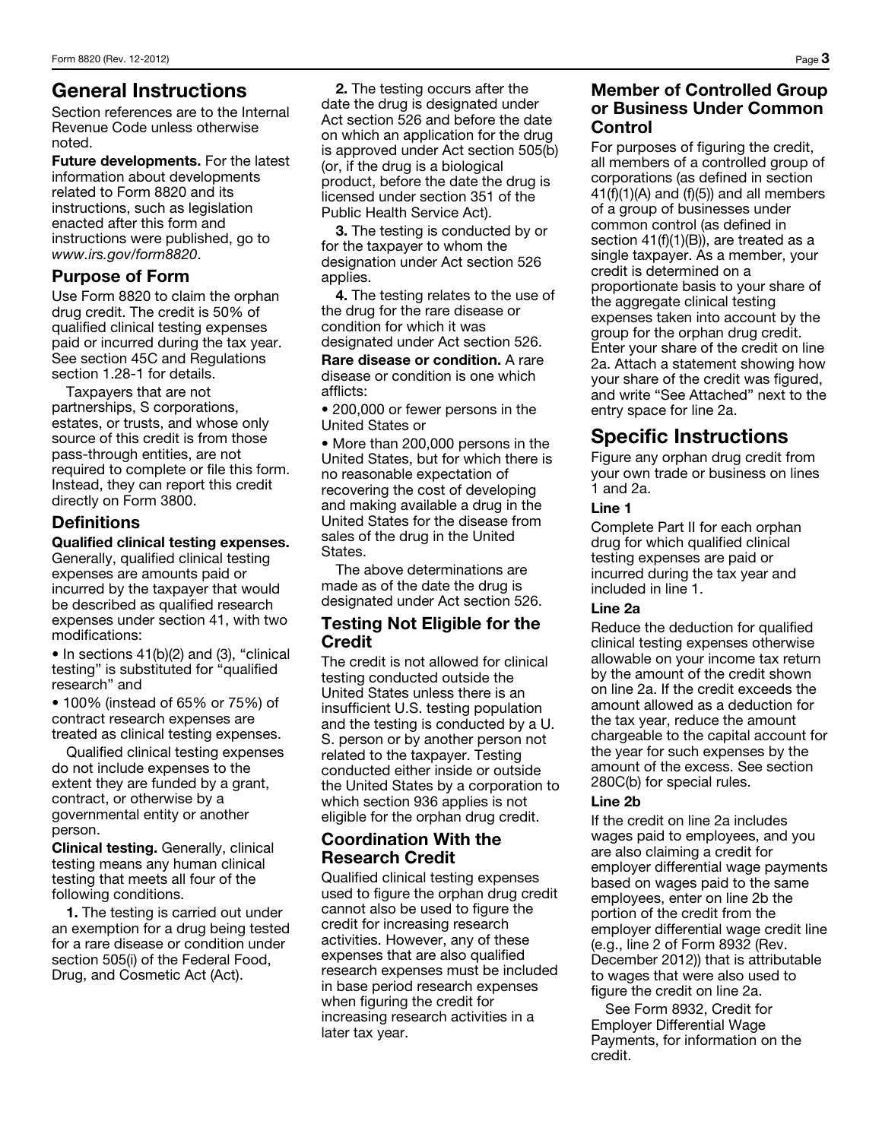## General Instructions

Section references are to the Internal Revenue Code unless otherwise noted.

Future developments. For the latest information about developments related to Form 8820 and its instructions, such as legislation enacted after this form and instructions were published, go to *www.irs.gov/form8820*.

## Purpose of Form

Use Form 8820 to claim the orphan drug credit. The credit is 50% of qualified clinical testing expenses paid or incurred during the tax year. See section 45C and Regulations section 1.28-1 for details.

Taxpayers that are not partnerships, S corporations, estates, or trusts, and whose only source of this credit is from those pass-through entities, are not required to complete or file this form. Instead, they can report this credit directly on Form 3800.

## **Definitions**

### Qualified clinical testing expenses.

Generally, qualified clinical testing expenses are amounts paid or incurred by the taxpayer that would be described as qualified research expenses under section 41, with two modifications:

• In sections 41(b)(2) and (3), "clinical testing" is substituted for "qualified research" and

• 100% (instead of 65% or 75%) of contract research expenses are treated as clinical testing expenses.

Qualified clinical testing expenses do not include expenses to the extent they are funded by a grant, contract, or otherwise by a governmental entity or another person.

Clinical testing. Generally, clinical testing means any human clinical testing that meets all four of the following conditions.

1. The testing is carried out under an exemption for a drug being tested for a rare disease or condition under section 505(i) of the Federal Food, Drug, and Cosmetic Act (Act).

2. The testing occurs after the date the drug is designated under Act section 526 and before the date on which an application for the drug is approved under Act section 505(b) (or, if the drug is a biological product, before the date the drug is licensed under section 351 of the Public Health Service Act).

3. The testing is conducted by or for the taxpayer to whom the designation under Act section 526 applies.

4. The testing relates to the use of the drug for the rare disease or condition for which it was designated under Act section 526.

Rare disease or condition. A rare disease or condition is one which afflicts:

• 200,000 or fewer persons in the United States or

• More than 200,000 persons in the United States, but for which there is no reasonable expectation of recovering the cost of developing and making available a drug in the United States for the disease from sales of the drug in the United States.

The above determinations are made as of the date the drug is designated under Act section 526.

### Testing Not Eligible for the **Credit**

The credit is not allowed for clinical testing conducted outside the United States unless there is an insufficient U.S. testing population and the testing is conducted by a U. S. person or by another person not related to the taxpayer. Testing conducted either inside or outside the United States by a corporation to which section 936 applies is not eligible for the orphan drug credit.

## Coordination With the Research Credit

Qualified clinical testing expenses used to figure the orphan drug credit cannot also be used to figure the credit for increasing research activities. However, any of these expenses that are also qualified research expenses must be included in base period research expenses when figuring the credit for increasing research activities in a later tax year.

### Member of Controlled Group or Business Under Common Control

For purposes of figuring the credit, all members of a controlled group of corporations (as defined in section  $41(f)(1)(A)$  and  $(f)(5)$ ) and all members of a group of businesses under common control (as defined in section 41(f)(1)(B)), are treated as a single taxpayer. As a member, your credit is determined on a proportionate basis to your share of the aggregate clinical testing expenses taken into account by the group for the orphan drug credit. Enter your share of the credit on line 2a. Attach a statement showing how your share of the credit was figured, and write "See Attached" next to the entry space for line 2a.

## Specific Instructions

Figure any orphan drug credit from your own trade or business on lines 1 and 2a.

### Line 1

Complete Part II for each orphan drug for which qualified clinical testing expenses are paid or incurred during the tax year and included in line 1.

### Line 2a

Reduce the deduction for qualified clinical testing expenses otherwise allowable on your income tax return by the amount of the credit shown on line 2a. If the credit exceeds the amount allowed as a deduction for the tax year, reduce the amount chargeable to the capital account for the year for such expenses by the amount of the excess. See section 280C(b) for special rules.

### Line 2b

If the credit on line 2a includes wages paid to employees, and you are also claiming a credit for employer differential wage payments based on wages paid to the same employees, enter on line 2b the portion of the credit from the employer differential wage credit line (e.g., line 2 of Form 8932 (Rev. December 2012)) that is attributable to wages that were also used to figure the credit on line 2a.

See Form 8932, Credit for Employer Differential Wage Payments, for information on the credit.